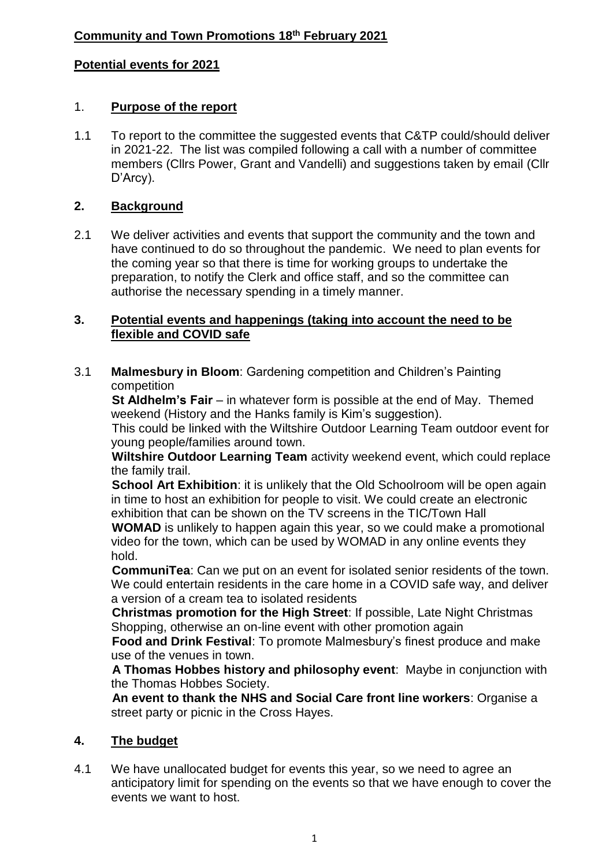## **Potential events for 2021**

## 1. **Purpose of the report**

1.1 To report to the committee the suggested events that C&TP could/should deliver in 2021-22. The list was compiled following a call with a number of committee members (Cllrs Power, Grant and Vandelli) and suggestions taken by email (Cllr D'Arcy).

## **2. Background**

2.1 We deliver activities and events that support the community and the town and have continued to do so throughout the pandemic. We need to plan events for the coming year so that there is time for working groups to undertake the preparation, to notify the Clerk and office staff, and so the committee can authorise the necessary spending in a timely manner.

#### **3. Potential events and happenings (taking into account the need to be flexible and COVID safe**

3.1 **Malmesbury in Bloom**: Gardening competition and Children's Painting competition

**St Aldhelm's Fair** – in whatever form is possible at the end of May. Themed weekend (History and the Hanks family is Kim's suggestion).

 This could be linked with the Wiltshire Outdoor Learning Team outdoor event for young people/families around town.

 **Wiltshire Outdoor Learning Team** activity weekend event, which could replace the family trail.

**School Art Exhibition:** it is unlikely that the Old Schoolroom will be open again in time to host an exhibition for people to visit. We could create an electronic exhibition that can be shown on the TV screens in the TIC/Town Hall

 **WOMAD** is unlikely to happen again this year, so we could make a promotional video for the town, which can be used by WOMAD in any online events they hold.

 **CommuniTea**: Can we put on an event for isolated senior residents of the town. We could entertain residents in the care home in a COVID safe way, and deliver a version of a cream tea to isolated residents

 **Christmas promotion for the High Street**: If possible, Late Night Christmas Shopping, otherwise an on-line event with other promotion again

 **Food and Drink Festival**: To promote Malmesbury's finest produce and make use of the venues in town.

 **A Thomas Hobbes history and philosophy event**: Maybe in conjunction with the Thomas Hobbes Society.

 **An event to thank the NHS and Social Care front line workers**: Organise a street party or picnic in the Cross Hayes.

### **4. The budget**

4.1 We have unallocated budget for events this year, so we need to agree an anticipatory limit for spending on the events so that we have enough to cover the events we want to host.